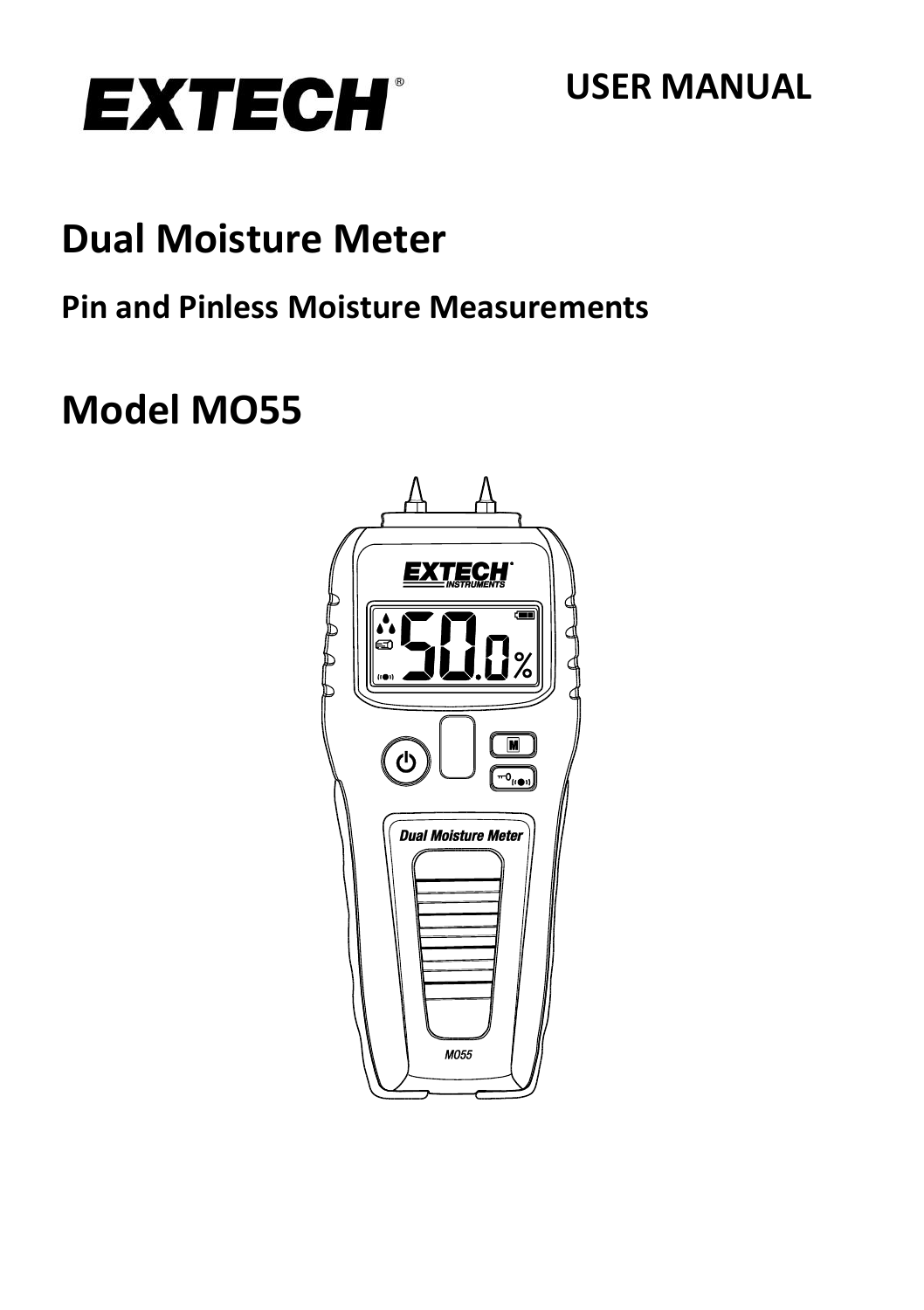

## **USER MANUAL**

# **Dual Moisture Meter**

## **Pin and Pinless Moisture Measurements**

# **Model MO55**

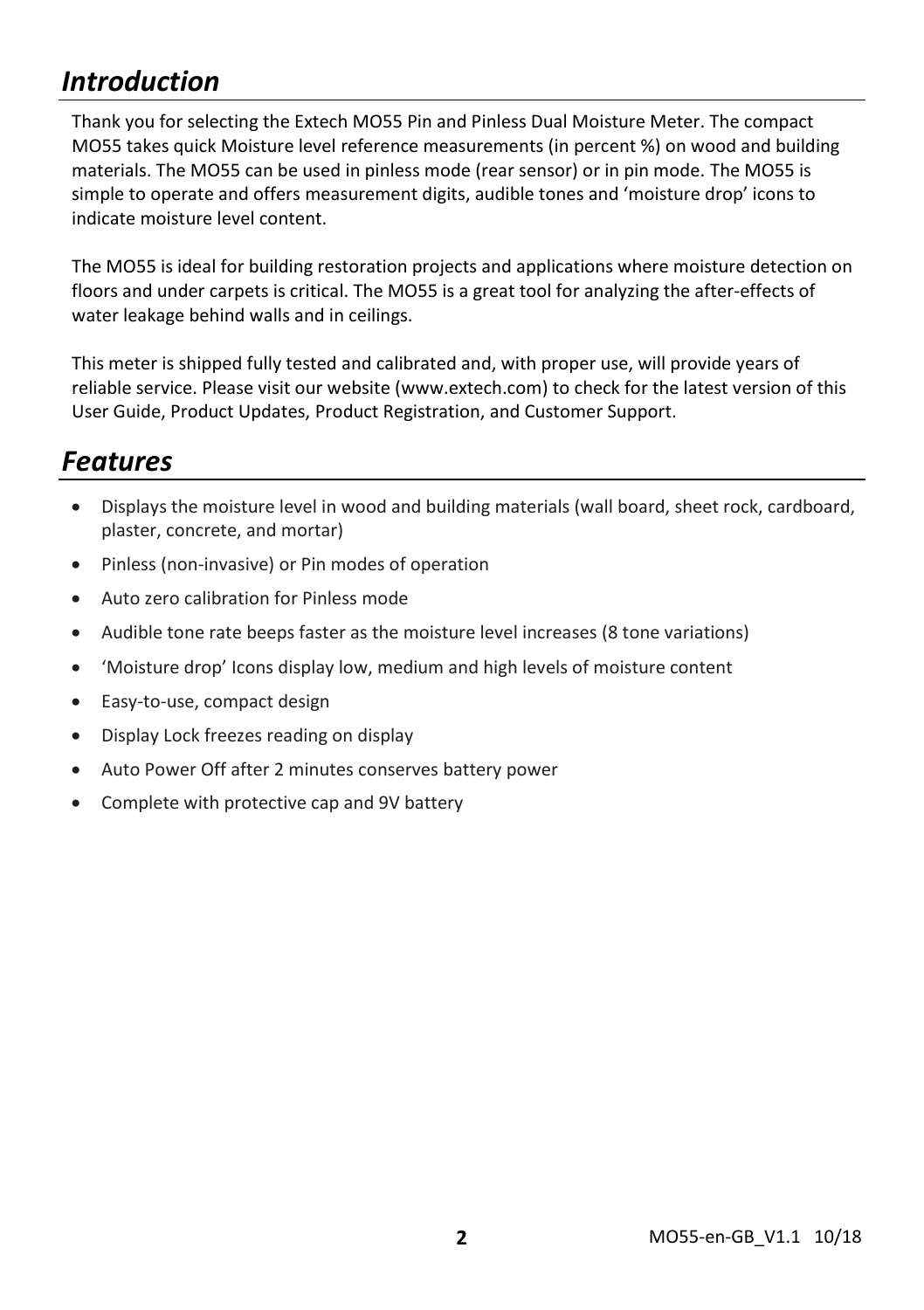## *Introduction*

Thank you for selecting the Extech MO55 Pin and Pinless Dual Moisture Meter. The compact MO55 takes quick Moisture level reference measurements (in percent %) on wood and building materials. The MO55 can be used in pinless mode (rear sensor) or in pin mode. The MO55 is simple to operate and offers measurement digits, audible tones and 'moisture drop' icons to indicate moisture level content.

The MO55 is ideal for building restoration projects and applications where moisture detection on floors and under carpets is critical. The MO55 is a great tool for analyzing the after-effects of water leakage behind walls and in ceilings.

This meter is shipped fully tested and calibrated and, with proper use, will provide years of reliable service. Please visit our website [\(www.extech.com\)](http://www.extech.com/) to check for the latest version of this User Guide, Product Updates, Product Registration, and Customer Support.

### *Features*

- Displays the moisture level in wood and building materials (wall board, sheet rock, cardboard, plaster, concrete, and mortar)
- Pinless (non-invasive) or Pin modes of operation
- Auto zero calibration for Pinless mode
- Audible tone rate beeps faster as the moisture level increases (8 tone variations)
- 'Moisture drop' Icons display low, medium and high levels of moisture content
- Easy-to-use, compact design
- Display Lock freezes reading on display
- Auto Power Off after 2 minutes conserves battery power
- Complete with protective cap and 9V battery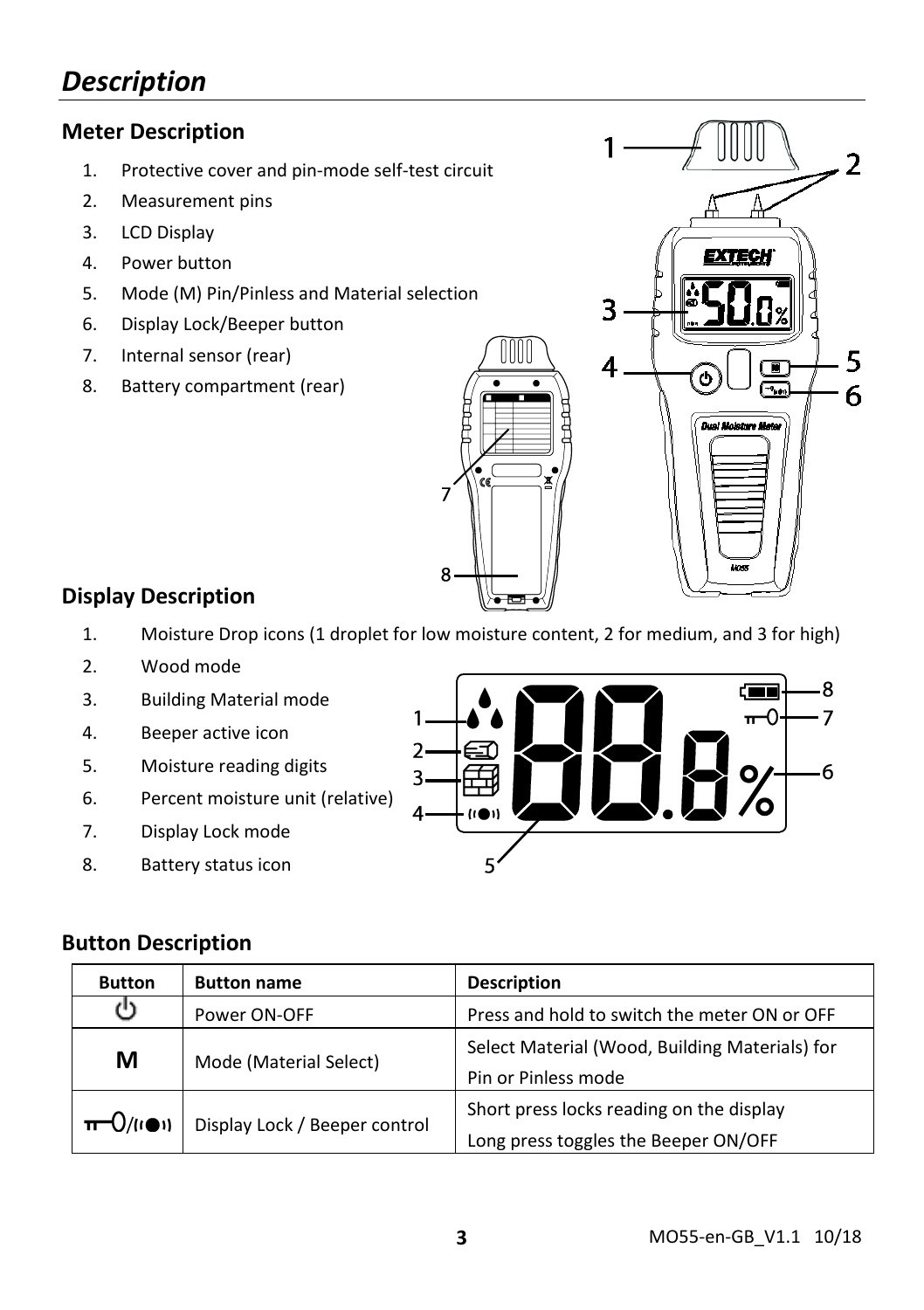## *Description*

#### **Meter Description**

- 1. Protective cover and pin-mode self-test circuit
- 2. Measurement pins
- 3. LCD Display
- 4. Power button
- 5. Mode (M) Pin/Pinless and Material selection
- 6. Display Lock/Beeper button
- 7. Internal sensor (rear)
- 8. Battery compartment (rear)



#### **Display Description**

- 1. Moisture Drop icons (1 droplet for low moisture content, 2 for medium, and 3 for high)
- 2. Wood mode
- 3. Building Material mode
- 4. Beeper active icon
- 5. Moisture reading digits
- 6. Percent moisture unit (relative)
- 7. Display Lock mode
- 8. Battery status icon



#### **Button Description**

| <b>Button</b>         | <b>Button name</b>                                           | <b>Description</b>                                                               |  |
|-----------------------|--------------------------------------------------------------|----------------------------------------------------------------------------------|--|
| (')                   | Press and hold to switch the meter ON or OFF<br>Power ON-OFF |                                                                                  |  |
| M                     | Mode (Material Select)                                       | Select Material (Wood, Building Materials) for<br>Pin or Pinless mode            |  |
| $\pi$ -O/( $\omega$ ) | Display Lock / Beeper control                                | Short press locks reading on the display<br>Long press toggles the Beeper ON/OFF |  |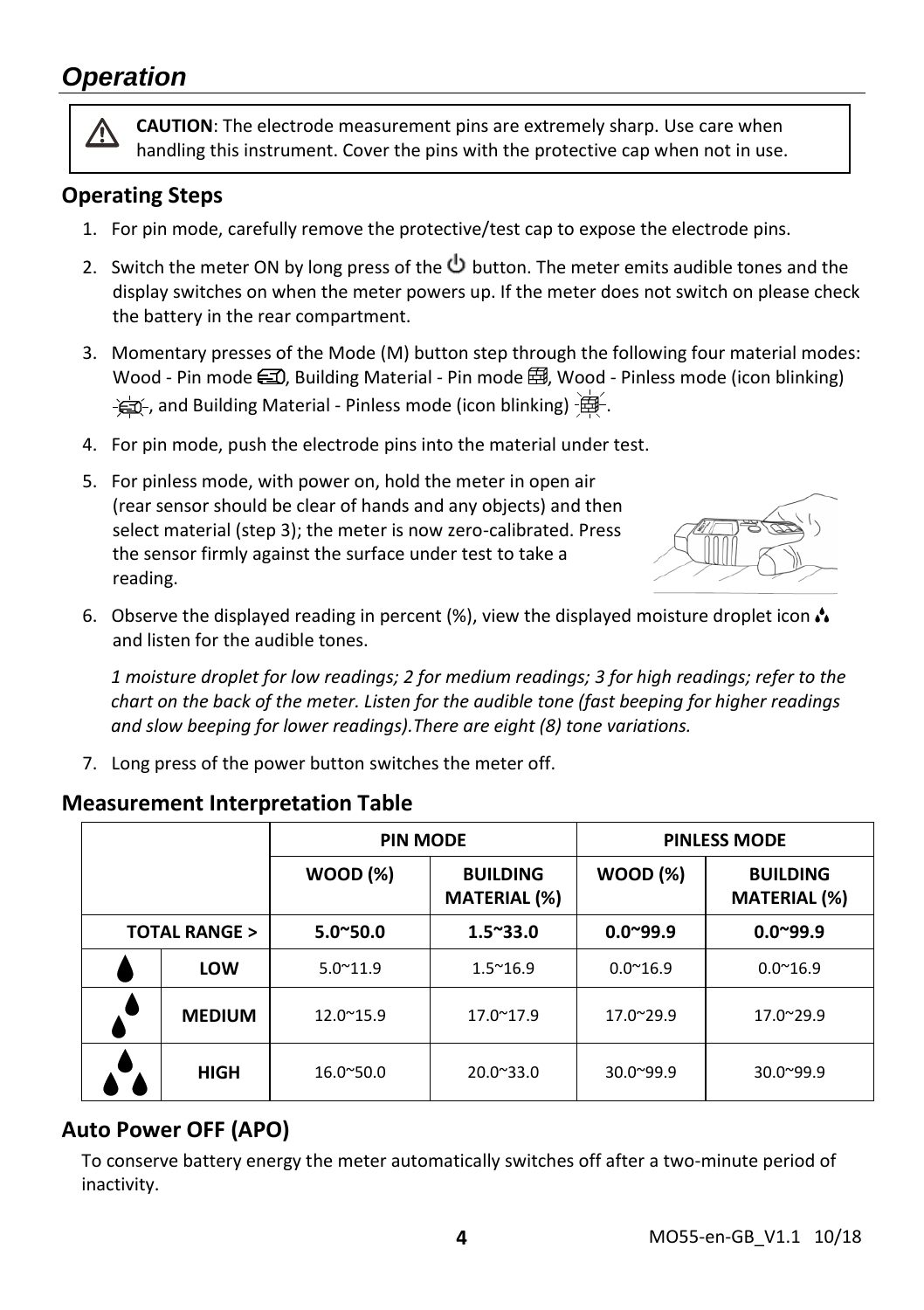## *Operation*

**CAUTION**: The electrode measurement pins are extremely sharp. Use care when handling this instrument. Cover the pins with the protective cap when not in use.

#### **Operating Steps**

- 1. For pin mode, carefully remove the protective/test cap to expose the electrode pins.
- 2. Switch the meter ON by long press of the  $\Phi$  button. The meter emits audible tones and the display switches on when the meter powers up. If the meter does not switch on please check the battery in the rear compartment.
- 3. Momentary presses of the Mode (M) button step through the following four material modes: Wood - Pin mode  $\Box$ , Building Material - Pin mode  $\boxplus$ , Wood - Pinless mode (icon blinking)  $-\frac{1}{2}$ , and Building Material - Pinless mode (icon blinking)  $-\frac{1}{2}$ .
- 4. For pin mode, push the electrode pins into the material under test.
- 5. For pinless mode, with power on, hold the meter in open air (rear sensor should be clear of hands and any objects) and then select material (step 3); the meter is now zero-calibrated. Press the sensor firmly against the surface under test to take a reading.



6. Observe the displayed reading in percent  $\%$ ), view the displayed moisture droplet icon  $\clubsuit$ and listen for the audible tones.

*1 moisture droplet for low readings; 2 for medium readings; 3 for high readings; refer to the chart on the back of the meter. Listen for the audible tone (fast beeping for higher readings and slow beeping for lower readings).There are eight (8) tone variations.*

7. Long press of the power button switches the meter off.

|                         |               | <b>PIN MODE</b>    |                                        | <b>PINLESS MODE</b> |                                        |
|-------------------------|---------------|--------------------|----------------------------------------|---------------------|----------------------------------------|
|                         |               | <b>WOOD (%)</b>    | <b>BUILDING</b><br><b>MATERIAL</b> (%) | <b>WOOD (%)</b>     | <b>BUILDING</b><br><b>MATERIAL (%)</b> |
| <b>TOTAL RANGE &gt;</b> |               | $5.0^{\circ}50.0$  | $1.5^{\sim}33.0$                       | $0.0^{\sim}99.9$    | $0.0^{\circ}99.9$                      |
|                         | LOW           | $5.0^{\sim}11.9$   | $1.5^{\sim}16.9$                       | $0.0^{\sim}16.9$    | $0.0^{\sim}16.9$                       |
|                         | <b>MEDIUM</b> | $12.0^{\circ}15.9$ | $17.0^{\circ}17.9$                     | 17.0~29.9           | 17.0~29.9                              |
|                         | <b>HIGH</b>   | 16.0~50.0          | $20.0^{\circ}33.0$                     | $30.0^{\circ}99.9$  | 30.0~99.9                              |

#### **Measurement Interpretation Table**

#### **Auto Power OFF (APO)**

To conserve battery energy the meter automatically switches off after a two-minute period of inactivity.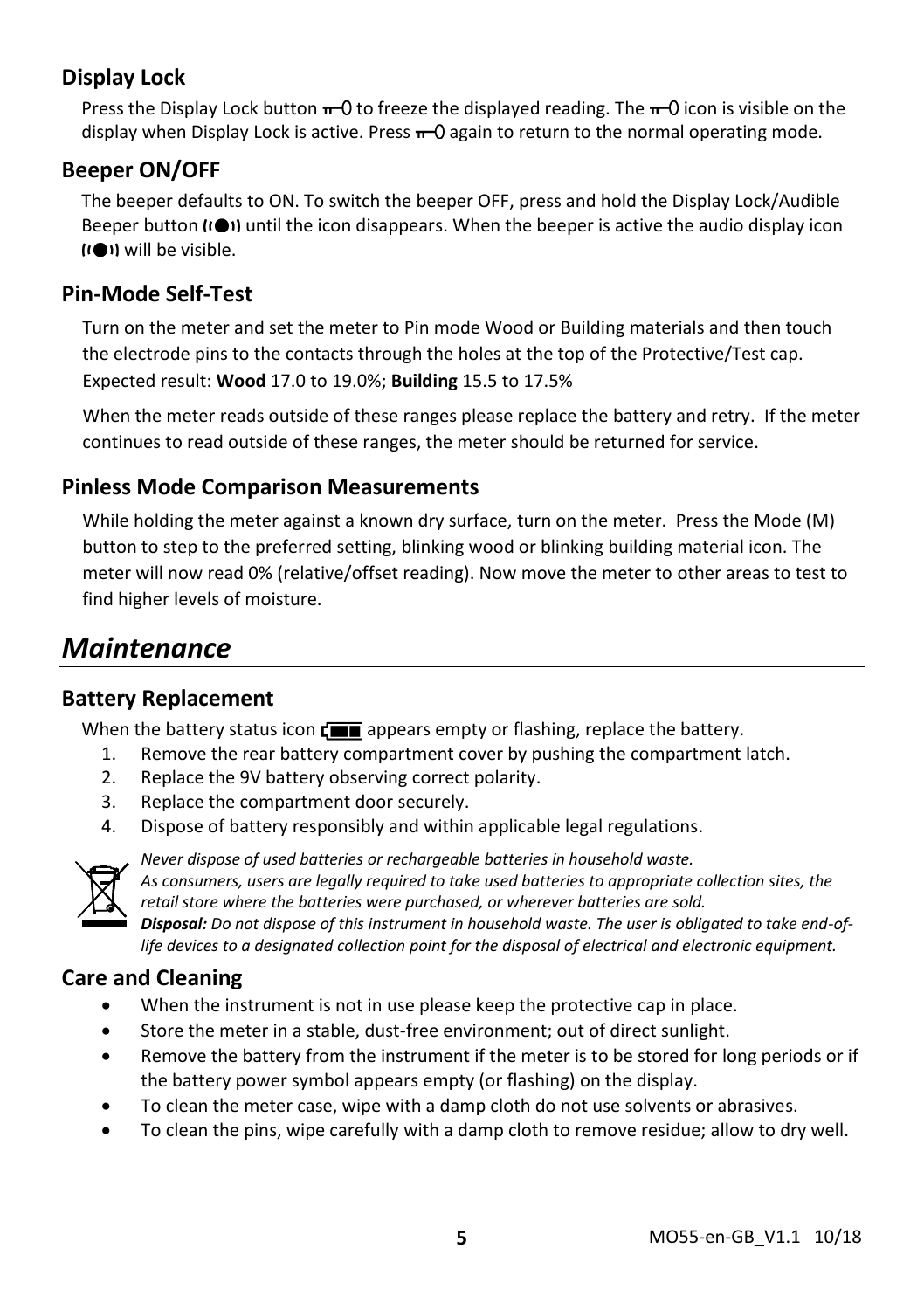#### **Display Lock**

Press the Display Lock button  $\pi$  O to freeze the displayed reading. The  $\pi$  O icon is visible on the display when Display Lock is active. Press  $\pi$  O again to return to the normal operating mode.

#### **Beeper ON/OFF**

The beeper defaults to ON. To switch the beeper OFF, press and hold the Display Lock/Audible Beeper button (IOI) until the icon disappears. When the beeper is active the audio display icon will be visible.

#### **Pin-Mode Self-Test**

Turn on the meter and set the meter to Pin mode Wood or Building materials and then touch the electrode pins to the contacts through the holes at the top of the Protective/Test cap. Expected result: **Wood** 17.0 to 19.0%; **Building** 15.5 to 17.5%

When the meter reads outside of these ranges please replace the battery and retry. If the meter continues to read outside of these ranges, the meter should be returned for service.

#### **Pinless Mode Comparison Measurements**

While holding the meter against a known dry surface, turn on the meter. Press the Mode (M) button to step to the preferred setting, blinking wood or blinking building material icon. The meter will now read 0% (relative/offset reading). Now move the meter to other areas to test to find higher levels of moisture.

### *Maintenance*

#### **Battery Replacement**

When the battery status icon  $\Gamma$  appears empty or flashing, replace the battery.

- 1. Remove the rear battery compartment cover by pushing the compartment latch.
- 2. Replace the 9V battery observing correct polarity.
- 3. Replace the compartment door securely.
- 4. Dispose of battery responsibly and within applicable legal regulations.



*Never dispose of used batteries or rechargeable batteries in household waste. As consumers, users are legally required to take used batteries to appropriate collection sites, the retail store where the batteries were purchased, or wherever batteries are sold.*

*Disposal: Do not dispose of this instrument in household waste. The user is obligated to take end-oflife devices to a designated collection point for the disposal of electrical and electronic equipment.*

#### **Care and Cleaning**

- When the instrument is not in use please keep the protective cap in place.
- Store the meter in a stable, dust-free environment; out of direct sunlight.
- Remove the battery from the instrument if the meter is to be stored for long periods or if the battery power symbol appears empty (or flashing) on the display.
- To clean the meter case, wipe with a damp cloth do not use solvents or abrasives.
- To clean the pins, wipe carefully with a damp cloth to remove residue; allow to dry well.